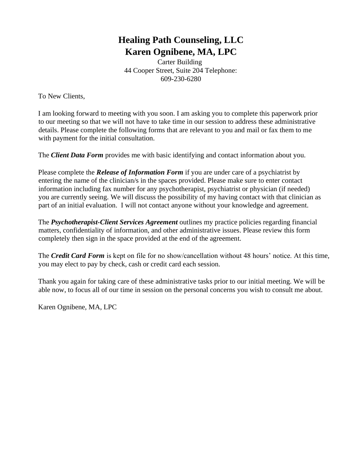# **Healing Path Counseling, LLC Karen Ognibene, MA, LPC**

Carter Building 44 Cooper Street, Suite 204 Telephone: 609-230-6280

To New Clients,

I am looking forward to meeting with you soon. I am asking you to complete this paperwork prior to our meeting so that we will not have to take time in our session to address these administrative details. Please complete the following forms that are relevant to you and mail or fax them to me with payment for the initial consultation.

The *Client Data Form* provides me with basic identifying and contact information about you.

Please complete the *Release of Information Form* if you are under care of a psychiatrist by entering the name of the clinician/s in the spaces provided. Please make sure to enter contact information including fax number for any psychotherapist, psychiatrist or physician (if needed) you are currently seeing. We will discuss the possibility of my having contact with that clinician as part of an initial evaluation. I will not contact anyone without your knowledge and agreement.

The *Psychotherapist-Client Services Agreement* outlines my practice policies regarding financial matters, confidentiality of information, and other administrative issues. Please review this form completely then sign in the space provided at the end of the agreement.

The *Credit Card Form* is kept on file for no show/cancellation without 48 hours' notice. At this time, you may elect to pay by check, cash or credit card each session.

Thank you again for taking care of these administrative tasks prior to our initial meeting. We will be able now, to focus all of our time in session on the personal concerns you wish to consult me about.

Karen Ognibene, MA, LPC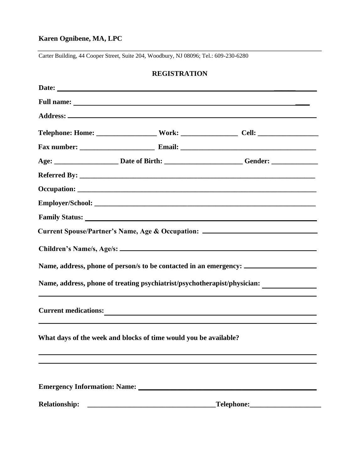### **Karen Ognibene, MA, LPC**

Carter Building, 44 Cooper Street, Suite 204, Woodbury, NJ 08096; Tel.: 609-230-6280

### **REGISTRATION**

|                                                                  | Age: ___________________________Date of Birth: ___________________________Gender: __________________ |  |  |
|------------------------------------------------------------------|------------------------------------------------------------------------------------------------------|--|--|
|                                                                  |                                                                                                      |  |  |
|                                                                  |                                                                                                      |  |  |
|                                                                  |                                                                                                      |  |  |
|                                                                  |                                                                                                      |  |  |
|                                                                  | Current Spouse/Partner's Name, Age & Occupation: _______________________________                     |  |  |
|                                                                  |                                                                                                      |  |  |
|                                                                  | Name, address, phone of person/s to be contacted in an emergency: _______________                    |  |  |
|                                                                  | Name, address, phone of treating psychiatrist/psychotherapist/physician: __________________________  |  |  |
|                                                                  |                                                                                                      |  |  |
| What days of the week and blocks of time would you be available? |                                                                                                      |  |  |
|                                                                  |                                                                                                      |  |  |
| Emergency Information: Name:                                     |                                                                                                      |  |  |
|                                                                  | _Telephone:________________________                                                                  |  |  |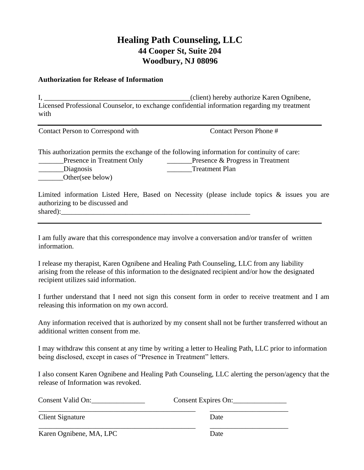# **Healing Path Counseling, LLC 44 Cooper St, Suite 204 Woodbury, NJ 08096**

#### **Authorization for Release of Information**

I, \_\_\_\_\_\_\_\_\_\_\_\_\_\_\_\_\_\_\_\_\_\_\_\_\_\_\_\_\_\_\_\_\_\_\_\_\_\_\_\_\_(client) hereby authorize Karen Ognibene, Licensed Professional Counselor, to exchange confidential information regarding my treatment with

Contact Person to Correspond with Contact Person Phone #

This authorization permits the exchange of the following information for continuity of care: **Example 2.1** Presence in Treatment Only **Conserverse Conserverse Conserverse Progress in Treatment** \_\_\_\_\_\_\_Diagnosis \_\_\_\_\_\_\_Treatment Plan Other(see below)

Limited information Listed Here, Based on Necessity (please include topics & issues you are authorizing to be discussed and shared):

I am fully aware that this correspondence may involve a conversation and/or transfer of written information.

I release my therapist, Karen Ognibene and Healing Path Counseling, LLC from any liability arising from the release of this information to the designated recipient and/or how the designated recipient utilizes said information.

I further understand that I need not sign this consent form in order to receive treatment and I am releasing this information on my own accord.

Any information received that is authorized by my consent shall not be further transferred without an additional written consent from me.

I may withdraw this consent at any time by writing a letter to Healing Path, LLC prior to information being disclosed, except in cases of "Presence in Treatment" letters.

I also consent Karen Ognibene and Healing Path Counseling, LLC alerting the person/agency that the release of Information was revoked.

| Consent Valid On: | Consent Expires On: |
|-------------------|---------------------|
| Client Signature  | Date                |

Karen Ognibene, MA, LPC Date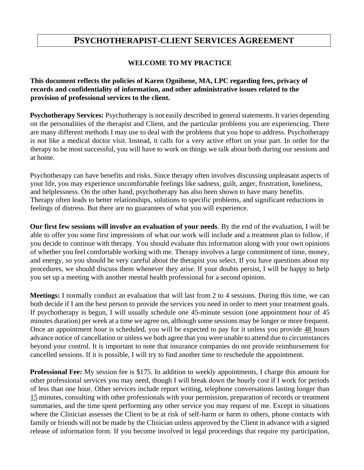# **PSYCHOTHERAPIST-CLIENT SERVICES AGREEMENT**

#### **WELCOME TO MY PRACTICE**

**This document reflects the policies of Karen Ognibene, MA, LPC regarding fees, privacy of records and confidentiality of information, and other administrative issues related to the provision of professional services to the client.**

**Psychotherapy Services:** Psychotherapy is not easily described in general statements. It varies depending on the personalities of the therapist and Client, and the particular problems you are experiencing. There are many different methods I may use to deal with the problems that you hope to address. Psychotherapy is not like a medical doctor visit. Instead, it calls for a very active effort on your part. In order for the therapy to be most successful, you will have to work on things we talk about both during our sessions and at home.

Psychotherapy can have benefits and risks. Since therapy often involves discussing unpleasant aspects of your life, you may experience uncomfortable feelings like sadness, guilt, anger, frustration, loneliness, and helplessness. On the other hand, psychotherapy has also been shown to have many benefits. Therapy often leads to better relationships, solutions to specific problems, and significant reductions in feelings of distress. But there are no guarantees of what you will experience.

**Our first few sessions will involve an evaluation of your needs**. By the end of the evaluation, I will be able to offer you some first impressions of what our work will include and a treatment plan to follow, if you decide to continue with therapy. You should evaluate this information along with your own opinions of whether you feel comfortable working with me. Therapy involves a large commitment of time, money, and energy, so you should be very careful about the therapist you select. If you have questions about my procedures, we should discuss them whenever they arise. If your doubts persist, I will be happy to help you set up a meeting with another mental health professional for a second opinion.

**Meetings:** I normally conduct an evaluation that will last from 2 to 4 sessions. During this time, we can both decide if I am the best person to provide the services you need in order to meet your treatment goals. If psychotherapy is begun, I will usually schedule one 45-minute session (one appointment hour of 45 minutes duration) per week at a time we agree on, although some sessions may be longer or more frequent. Once an appointment hour is scheduled, you will be expected to pay for it unless you provide 48 hours advance notice of cancellation or unless we both agree that you were unable to attend due to circumstances beyond your control. It is important to note that insurance companies do not provide reimbursement for cancelled sessions. If it is possible, I will try to find another time to reschedule the appointment.

**Professional Fee:** My session fee is \$175. In addition to weekly appointments, I charge this amount for other professional services you may need, though I will break down the hourly cost if I work for periods of less than one hour. Other services include report writing, telephone conversations lasting longer than 15 minutes, consulting with other professionals with your permission, preparation of records or treatment summaries, and the time spent performing any other service you may request of me. Except in situations where the Clinician assesses the Client to be at risk of self-harm or harm to others, phone contacts with family or friends will not be made by the Clinician unless approved by the Client in advance with a signed release of information form. If you become involved in legal proceedings that require my participation,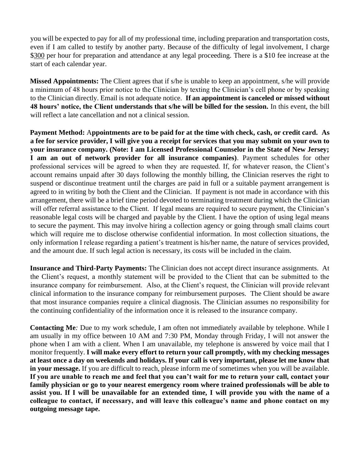you will be expected to pay for all of my professional time, including preparation and transportation costs, even if I am called to testify by another party. Because of the difficulty of legal involvement, I charge \$300 per hour for preparation and attendance at any legal proceeding. There is a \$10 fee increase at the start of each calendar year.

**Missed Appointments:** The Client agrees that if s/he is unable to keep an appointment, s/he will provide a minimum of 48 hours prior notice to the Clinician by texting the Clinician's cell phone or by speaking to the Clinician directly. Email is not adequate notice. **If an appointment is canceled or missed without 48 hours' notice, the Client understands that s/he will be billed for the session.** In this event, the bill will reflect a late cancellation and not a clinical session.

**Payment Method:** A**ppointments are to be paid for at the time with check, cash, or credit card. As a fee for service provider, I will give you a receipt for services that you may submit on your own to your insurance company. (Note: I am Licensed Professional Counselor in the State of New Jersey; I am an out of network provider for all insurance companies)**. Payment schedules for other professional services will be agreed to when they are requested. If, for whatever reason, the Client's account remains unpaid after 30 days following the monthly billing, the Clinician reserves the right to suspend or discontinue treatment until the charges are paid in full or a suitable payment arrangement is agreed to in writing by both the Client and the Clinician. If payment is not made in accordance with this arrangement, there will be a brief time period devoted to terminating treatment during which the Clinician will offer referral assistance to the Client. If legal means are required to secure payment, the Clinician's reasonable legal costs will be charged and payable by the Client. I have the option of using legal means to secure the payment. This may involve hiring a collection agency or going through small claims court which will require me to disclose otherwise confidential information. In most collection situations, the only information I release regarding a patient's treatment is his/her name, the nature of services provided, and the amount due. If such legal action is necessary, its costs will be included in the claim.

**Insurance and Third-Party Payments:** The Clinician does not accept direct insurance assignments. At the Client's request, a monthly statement will be provided to the Client that can be submitted to the insurance company for reimbursement. Also, at the Client's request, the Clinician will provide relevant clinical information to the insurance company for reimbursement purposes. The Client should be aware that most insurance companies require a clinical diagnosis. The Clinician assumes no responsibility for the continuing confidentiality of the information once it is released to the insurance company.

**Contacting Me***:* Due to my work schedule, I am often not immediately available by telephone. While I am usually in my office between 10 AM and 7:30 PM, Monday through Friday, I will not answer the phone when I am with a client. When I am unavailable, my telephone is answered by voice mail that I monitor frequently. **I will make every effort to return your call promptly, with my checking messages at least once a day on weekends and holidays. If your call is very important, please let me know that in your message.** If you are difficult to reach, please inform me of sometimes when you will be available. **If you are unable to reach me and feel that you can't wait for me to return your call, contact your family physician or go to your nearest emergency room where trained professionals will be able to assist you. If I will be unavailable for an extended time, I will provide you with the name of a colleague to contact, if necessary, and will leave this colleague's name and phone contact on my outgoing message tape.**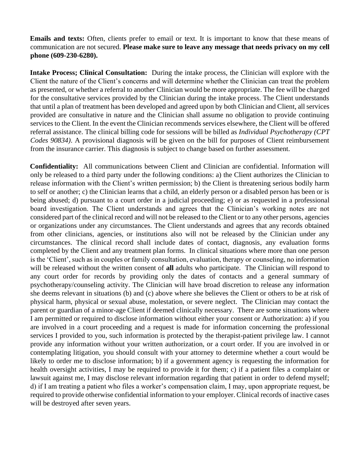**Emails and texts:** Often, clients prefer to email or text. It is important to know that these means of communication are not secured. **Please make sure to leave any message that needs privacy on my cell phone (609-230-6280).** 

**Intake Process; Clinical Consultation:** During the intake process, the Clinician will explore with the Client the nature of the Client's concerns and will determine whether the Clinician can treat the problem as presented, or whether a referral to another Clinician would be more appropriate. The fee will be charged for the consultative services provided by the Clinician during the intake process. The Client understands that until a plan of treatment has been developed and agreed upon by both Clinician and Client, all services provided are consultative in nature and the Clinician shall assume no obligation to provide continuing services to the Client. In the event the Clinician recommends services elsewhere, the Client will be offered referral assistance. The clinical billing code for sessions will be billed as *Individual Psychotherapy (CPT Codes 90834)*. A provisional diagnosis will be given on the bill for purposes of Client reimbursement from the insurance carrier. This diagnosis is subject to change based on further assessment.

**Confidentiality:** All communications between Client and Clinician are confidential. Information will only be released to a third party under the following conditions: a) the Client authorizes the Clinician to release information with the Client's written permission; b) the Client is threatening serious bodily harm to self or another; c) the Clinician learns that a child, an elderly person or a disabled person has been or is being abused; d) pursuant to a court order in a judicial proceeding; e) or as requested in a professional board investigation. The Client understands and agrees that the Clinician's working notes are not considered part of the clinical record and will not be released to the Client or to any other persons, agencies or organizations under any circumstances. The Client understands and agrees that any records obtained from other clinicians, agencies, or institutions also will not be released by the Clinician under any circumstances. The clinical record shall include dates of contact, diagnosis, any evaluation forms completed by the Client and any treatment plan forms. In clinical situations where more than one person is the 'Client', such as in couples or family consultation, evaluation, therapy or counseling, no information will be released without the written consent of **all** adults who participate. The Clinician will respond to any court order for records by providing only the dates of contacts and a general summary of psychotherapy/counseling activity. The Clinician will have broad discretion to release any information she deems relevant in situations (b) and (c) above where she believes the Client or others to be at risk of physical harm, physical or sexual abuse, molestation, or severe neglect. The Clinician may contact the parent or guardian of a minor-age Client if deemed clinically necessary. There are some situations where I am permitted or required to disclose information without either your consent or Authorization: a) if you are involved in a court proceeding and a request is made for information concerning the professional services I provided to you, such information is protected by the therapist-patient privilege law. I cannot provide any information without your written authorization, or a court order. If you are involved in or contemplating litigation, you should consult with your attorney to determine whether a court would be likely to order me to disclose information; b) if a government agency is requesting the information for health oversight activities, I may be required to provide it for them; c) if a patient files a complaint or lawsuit against me, I may disclose relevant information regarding that patient in order to defend myself; d) if I am treating a patient who files a worker's compensation claim, I may, upon appropriate request, be required to provide otherwise confidential information to your employer. Clinical records of inactive cases will be destroyed after seven years.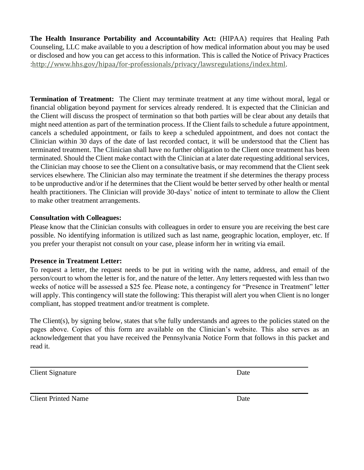**The Health Insurance Portability and Accountability Act:** (HIPAA) requires that Healing Path Counseling, LLC make available to you a description of how medical information about you may be used or disclosed and how you can get access to this information. This is called the Notice of Privacy Practices :http://www.hhs.gov/hipaa/for-professionals/privacy/lawsregulations/index.html.

**Termination of Treatment:** The Client may terminate treatment at any time without moral, legal or financial obligation beyond payment for services already rendered. It is expected that the Clinician and the Client will discuss the prospect of termination so that both parties will be clear about any details that might need attention as part of the termination process. If the Client fails to schedule a future appointment, cancels a scheduled appointment, or fails to keep a scheduled appointment, and does not contact the Clinician within 30 days of the date of last recorded contact, it will be understood that the Client has terminated treatment. The Clinician shall have no further obligation to the Client once treatment has been terminated. Should the Client make contact with the Clinician at a later date requesting additional services, the Clinician may choose to see the Client on a consultative basis, or may recommend that the Client seek services elsewhere. The Clinician also may terminate the treatment if she determines the therapy process to be unproductive and/or if he determines that the Client would be better served by other health or mental health practitioners. The Clinician will provide 30-days' notice of intent to terminate to allow the Client to make other treatment arrangements.

### **Consultation with Colleagues:**

Please know that the Clinician consults with colleagues in order to ensure you are receiving the best care possible. No identifying information is utilized such as last name, geographic location, employer, etc. If you prefer your therapist not consult on your case, please inform her in writing via email.

### **Presence in Treatment Letter:**

To request a letter, the request needs to be put in writing with the name, address, and email of the person/court to whom the letter is for, and the nature of the letter. Any letters requested with less than two weeks of notice will be assessed a \$25 fee. Please note, a contingency for "Presence in Treatment" letter will apply. This contingency will state the following: This therapist will alert you when Client is no longer compliant, has stopped treatment and/or treatment is complete.

The Client(s), by signing below, states that s/he fully understands and agrees to the policies stated on the pages above. Copies of this form are available on the Clinician's website. This also serves as an acknowledgement that you have received the Pennsylvania Notice Form that follows in this packet and read it.

**Client Signature** Date

Client Printed Name Date